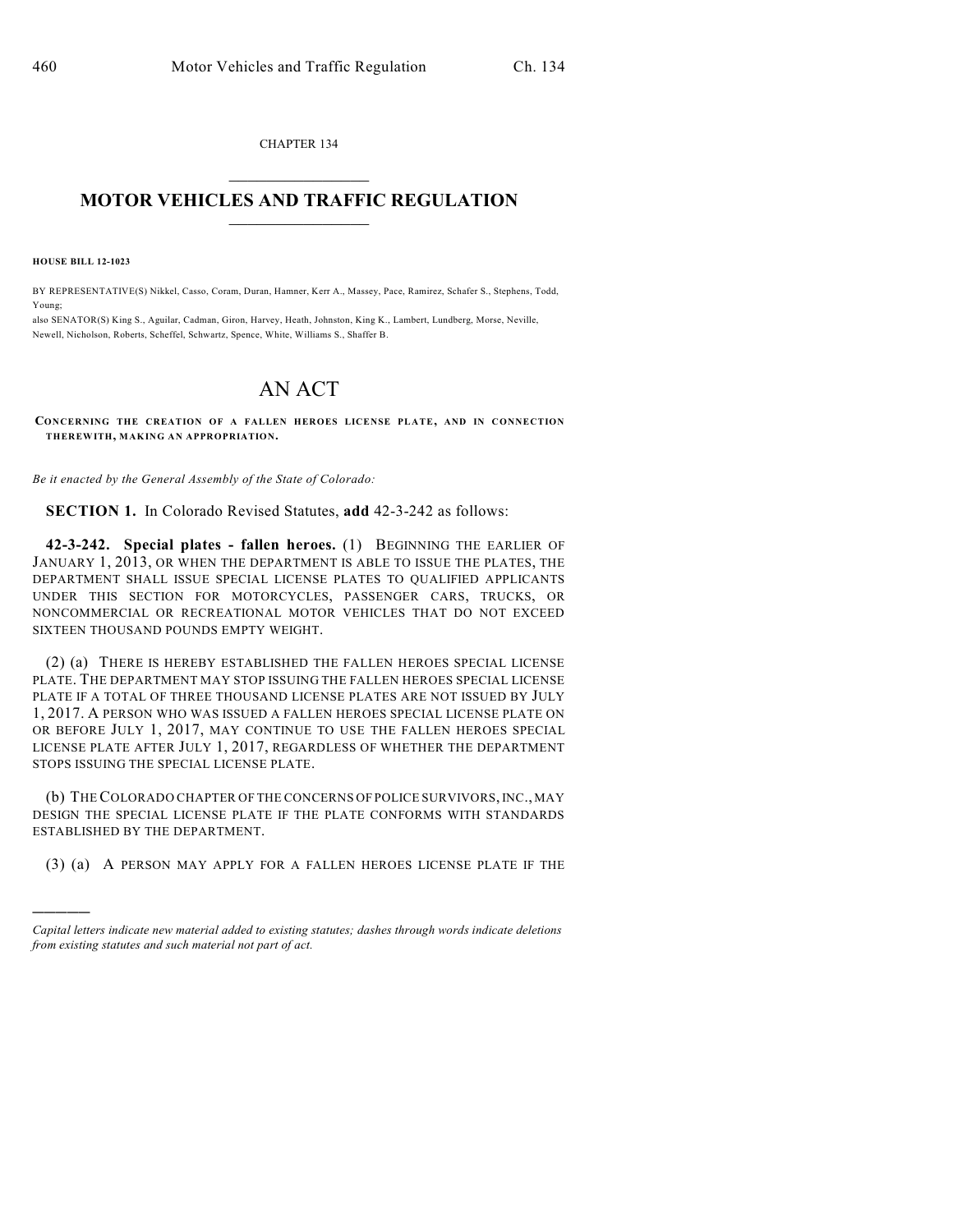CHAPTER 134

## $\overline{\phantom{a}}$  . The set of the set of the set of the set of the set of the set of the set of the set of the set of the set of the set of the set of the set of the set of the set of the set of the set of the set of the set o **MOTOR VEHICLES AND TRAFFIC REGULATION**  $\frac{1}{2}$  ,  $\frac{1}{2}$  ,  $\frac{1}{2}$  ,  $\frac{1}{2}$  ,  $\frac{1}{2}$  ,  $\frac{1}{2}$  ,  $\frac{1}{2}$

**HOUSE BILL 12-1023**

)))))

BY REPRESENTATIVE(S) Nikkel, Casso, Coram, Duran, Hamner, Kerr A., Massey, Pace, Ramirez, Schafer S., Stephens, Todd, Young;

also SENATOR(S) King S., Aguilar, Cadman, Giron, Harvey, Heath, Johnston, King K., Lambert, Lundberg, Morse, Neville, Newell, Nicholson, Roberts, Scheffel, Schwartz, Spence, White, Williams S., Shaffer B.

## AN ACT

**CONCERNING THE CREATION OF A FALLEN HEROES LICENSE PLATE, AND IN CONNECTION THEREWITH, MAKING AN APPROPRIATION.**

*Be it enacted by the General Assembly of the State of Colorado:*

**SECTION 1.** In Colorado Revised Statutes, **add** 42-3-242 as follows:

**42-3-242. Special plates - fallen heroes.** (1) BEGINNING THE EARLIER OF JANUARY 1, 2013, OR WHEN THE DEPARTMENT IS ABLE TO ISSUE THE PLATES, THE DEPARTMENT SHALL ISSUE SPECIAL LICENSE PLATES TO QUALIFIED APPLICANTS UNDER THIS SECTION FOR MOTORCYCLES, PASSENGER CARS, TRUCKS, OR NONCOMMERCIAL OR RECREATIONAL MOTOR VEHICLES THAT DO NOT EXCEED SIXTEEN THOUSAND POUNDS EMPTY WEIGHT.

(2) (a) THERE IS HEREBY ESTABLISHED THE FALLEN HEROES SPECIAL LICENSE PLATE. THE DEPARTMENT MAY STOP ISSUING THE FALLEN HEROES SPECIAL LICENSE PLATE IF A TOTAL OF THREE THOUSAND LICENSE PLATES ARE NOT ISSUED BY JULY 1, 2017. A PERSON WHO WAS ISSUED A FALLEN HEROES SPECIAL LICENSE PLATE ON OR BEFORE JULY 1, 2017, MAY CONTINUE TO USE THE FALLEN HEROES SPECIAL LICENSE PLATE AFTER JULY 1, 2017, REGARDLESS OF WHETHER THE DEPARTMENT STOPS ISSUING THE SPECIAL LICENSE PLATE.

(b) THECOLORADO CHAPTER OF THE CONCERNS OF POLICE SURVIVORS, INC., MAY DESIGN THE SPECIAL LICENSE PLATE IF THE PLATE CONFORMS WITH STANDARDS ESTABLISHED BY THE DEPARTMENT.

(3) (a) A PERSON MAY APPLY FOR A FALLEN HEROES LICENSE PLATE IF THE

*Capital letters indicate new material added to existing statutes; dashes through words indicate deletions from existing statutes and such material not part of act.*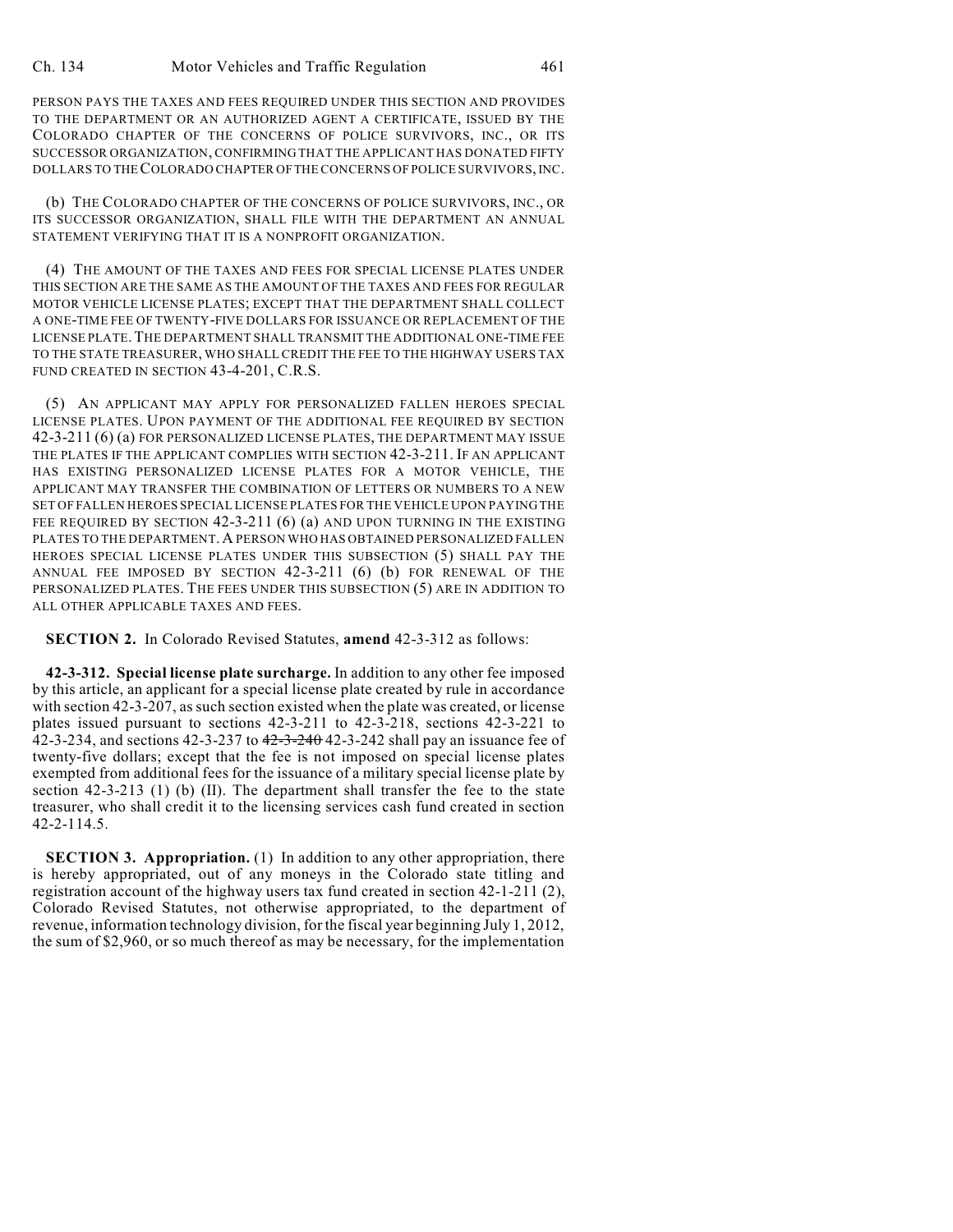PERSON PAYS THE TAXES AND FEES REQUIRED UNDER THIS SECTION AND PROVIDES TO THE DEPARTMENT OR AN AUTHORIZED AGENT A CERTIFICATE, ISSUED BY THE COLORADO CHAPTER OF THE CONCERNS OF POLICE SURVIVORS, INC., OR ITS SUCCESSOR ORGANIZATION, CONFIRMING THAT THE APPLICANT HAS DONATED FIFTY DOLLARS TO THECOLORADO CHAPTER OFTHE CONCERNS OF POLICE SURVIVORS,INC.

(b) THE COLORADO CHAPTER OF THE CONCERNS OF POLICE SURVIVORS, INC., OR ITS SUCCESSOR ORGANIZATION, SHALL FILE WITH THE DEPARTMENT AN ANNUAL STATEMENT VERIFYING THAT IT IS A NONPROFIT ORGANIZATION.

(4) THE AMOUNT OF THE TAXES AND FEES FOR SPECIAL LICENSE PLATES UNDER THIS SECTION ARE THE SAME AS THE AMOUNT OF THE TAXES AND FEES FOR REGULAR MOTOR VEHICLE LICENSE PLATES; EXCEPT THAT THE DEPARTMENT SHALL COLLECT A ONE-TIME FEE OF TWENTY-FIVE DOLLARS FOR ISSUANCE OR REPLACEMENT OF THE LICENSE PLATE.THE DEPARTMENT SHALL TRANSMIT THE ADDITIONAL ONE-TIME FEE TO THE STATE TREASURER, WHO SHALL CREDIT THE FEE TO THE HIGHWAY USERS TAX FUND CREATED IN SECTION 43-4-201, C.R.S.

(5) AN APPLICANT MAY APPLY FOR PERSONALIZED FALLEN HEROES SPECIAL LICENSE PLATES. UPON PAYMENT OF THE ADDITIONAL FEE REQUIRED BY SECTION 42-3-211 (6) (a) FOR PERSONALIZED LICENSE PLATES, THE DEPARTMENT MAY ISSUE THE PLATES IF THE APPLICANT COMPLIES WITH SECTION 42-3-211. IF AN APPLICANT HAS EXISTING PERSONALIZED LICENSE PLATES FOR A MOTOR VEHICLE, THE APPLICANT MAY TRANSFER THE COMBINATION OF LETTERS OR NUMBERS TO A NEW SET OF FALLEN HEROES SPECIAL LICENSE PLATES FOR THE VEHICLE UPON PAYING THE FEE REQUIRED BY SECTION 42-3-211 (6) (a) AND UPON TURNING IN THE EXISTING PLATES TO THE DEPARTMENT. A PERSON WHO HAS OBTAINED PERSONALIZED FALLEN HEROES SPECIAL LICENSE PLATES UNDER THIS SUBSECTION (5) SHALL PAY THE ANNUAL FEE IMPOSED BY SECTION 42-3-211 (6) (b) FOR RENEWAL OF THE PERSONALIZED PLATES. THE FEES UNDER THIS SUBSECTION (5) ARE IN ADDITION TO ALL OTHER APPLICABLE TAXES AND FEES.

**SECTION 2.** In Colorado Revised Statutes, **amend** 42-3-312 as follows:

**42-3-312. Special license plate surcharge.** In addition to any other fee imposed by this article, an applicant for a special license plate created by rule in accordance with section 42-3-207, as such section existed when the plate was created, or license plates issued pursuant to sections 42-3-211 to 42-3-218, sections 42-3-221 to 42-3-234, and sections 42-3-237 to 42-3-240 42-3-242 shall pay an issuance fee of twenty-five dollars; except that the fee is not imposed on special license plates exempted from additional fees for the issuance of a military special license plate by section 42-3-213 (1) (b) (II). The department shall transfer the fee to the state treasurer, who shall credit it to the licensing services cash fund created in section 42-2-114.5.

**SECTION 3. Appropriation.** (1) In addition to any other appropriation, there is hereby appropriated, out of any moneys in the Colorado state titling and registration account of the highway users tax fund created in section 42-1-211 (2), Colorado Revised Statutes, not otherwise appropriated, to the department of revenue, information technology division, for the fiscal year beginning July 1, 2012, the sum of \$2,960, or so much thereof as may be necessary, for the implementation